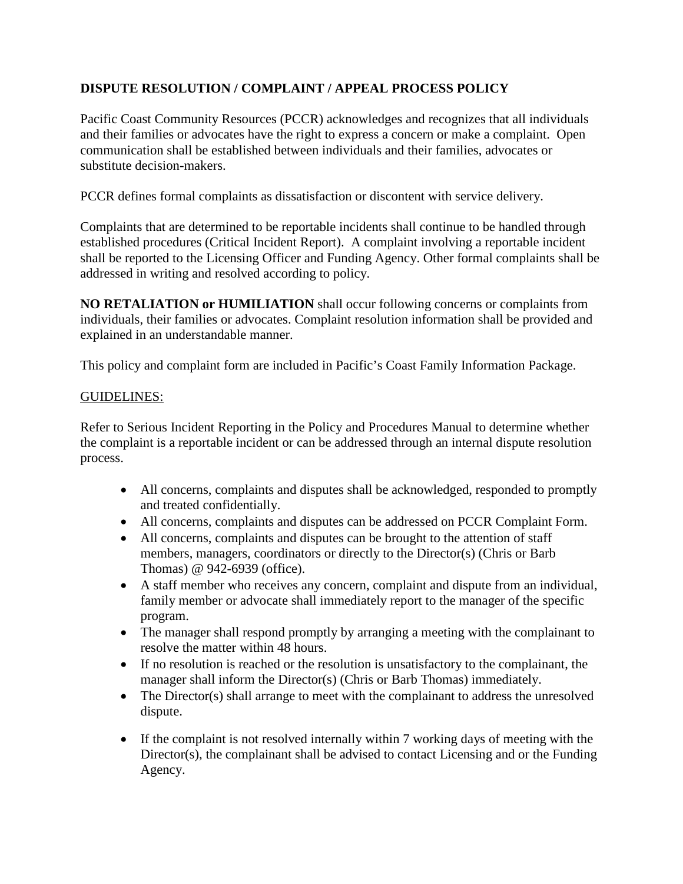## **DISPUTE RESOLUTION / COMPLAINT / APPEAL PROCESS POLICY**

Pacific Coast Community Resources (PCCR) acknowledges and recognizes that all individuals and their families or advocates have the right to express a concern or make a complaint. Open communication shall be established between individuals and their families, advocates or substitute decision-makers.

PCCR defines formal complaints as dissatisfaction or discontent with service delivery.

Complaints that are determined to be reportable incidents shall continue to be handled through established procedures (Critical Incident Report). A complaint involving a reportable incident shall be reported to the Licensing Officer and Funding Agency. Other formal complaints shall be addressed in writing and resolved according to policy.

**NO RETALIATION or HUMILIATION** shall occur following concerns or complaints from individuals, their families or advocates. Complaint resolution information shall be provided and explained in an understandable manner.

This policy and complaint form are included in Pacific's Coast Family Information Package.

### GUIDELINES:

Refer to Serious Incident Reporting in the Policy and Procedures Manual to determine whether the complaint is a reportable incident or can be addressed through an internal dispute resolution process.

- All concerns, complaints and disputes shall be acknowledged, responded to promptly and treated confidentially.
- All concerns, complaints and disputes can be addressed on PCCR Complaint Form.
- All concerns, complaints and disputes can be brought to the attention of staff members, managers, coordinators or directly to the Director(s) (Chris or Barb Thomas) @ 942-6939 (office).
- A staff member who receives any concern, complaint and dispute from an individual, family member or advocate shall immediately report to the manager of the specific program.
- The manager shall respond promptly by arranging a meeting with the complainant to resolve the matter within 48 hours.
- If no resolution is reached or the resolution is unsatisfactory to the complainant, the manager shall inform the Director(s) (Chris or Barb Thomas) immediately.
- The Director(s) shall arrange to meet with the complainant to address the unresolved dispute.
- If the complaint is not resolved internally within 7 working days of meeting with the Director(s), the complainant shall be advised to contact Licensing and or the Funding Agency.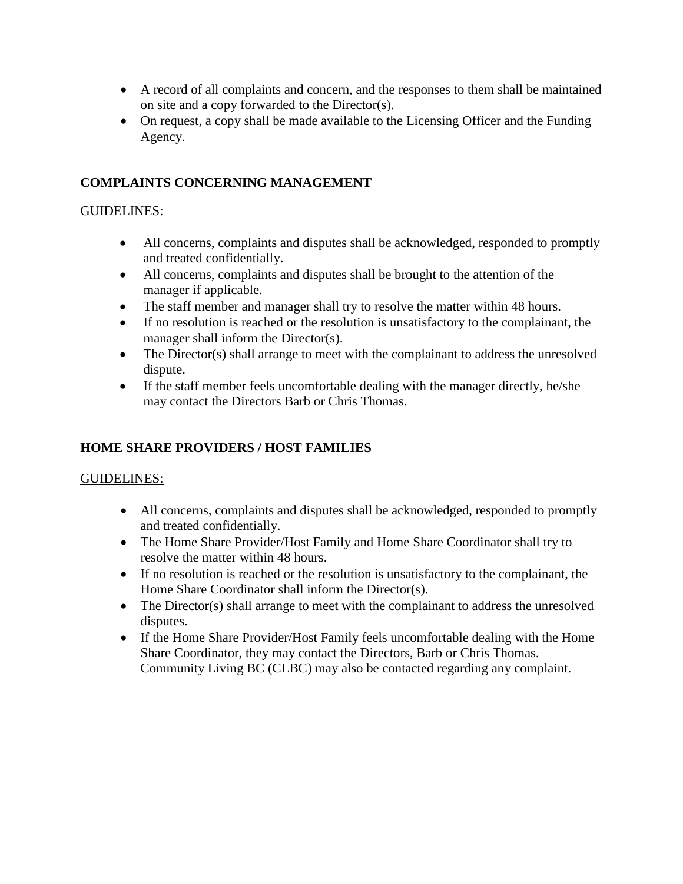- A record of all complaints and concern, and the responses to them shall be maintained on site and a copy forwarded to the Director(s).
- On request, a copy shall be made available to the Licensing Officer and the Funding Agency.

### **COMPLAINTS CONCERNING MANAGEMENT**

#### GUIDELINES:

- All concerns, complaints and disputes shall be acknowledged, responded to promptly and treated confidentially.
- All concerns, complaints and disputes shall be brought to the attention of the manager if applicable.
- The staff member and manager shall try to resolve the matter within 48 hours.
- If no resolution is reached or the resolution is unsatisfactory to the complainant, the manager shall inform the Director(s).
- The Director(s) shall arrange to meet with the complainant to address the unresolved dispute.
- If the staff member feels uncomfortable dealing with the manager directly, he/she may contact the Directors Barb or Chris Thomas.

### **HOME SHARE PROVIDERS / HOST FAMILIES**

#### GUIDELINES:

- All concerns, complaints and disputes shall be acknowledged, responded to promptly and treated confidentially.
- The Home Share Provider/Host Family and Home Share Coordinator shall try to resolve the matter within 48 hours.
- If no resolution is reached or the resolution is unsatisfactory to the complainant, the Home Share Coordinator shall inform the Director(s).
- The Director(s) shall arrange to meet with the complainant to address the unresolved disputes.
- If the Home Share Provider/Host Family feels uncomfortable dealing with the Home Share Coordinator, they may contact the Directors, Barb or Chris Thomas. Community Living BC (CLBC) may also be contacted regarding any complaint.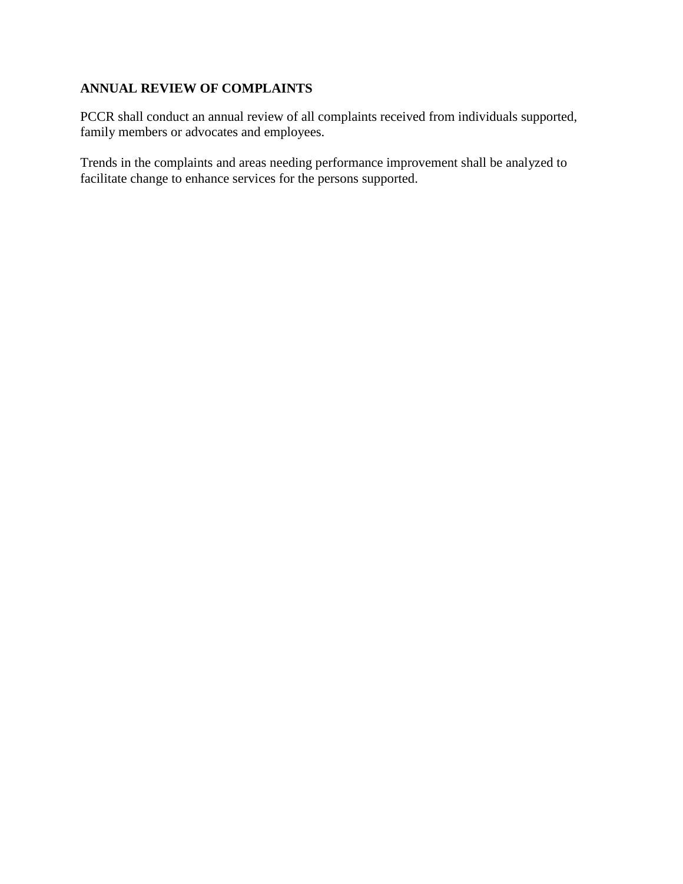## **ANNUAL REVIEW OF COMPLAINTS**

PCCR shall conduct an annual review of all complaints received from individuals supported, family members or advocates and employees.

Trends in the complaints and areas needing performance improvement shall be analyzed to facilitate change to enhance services for the persons supported.